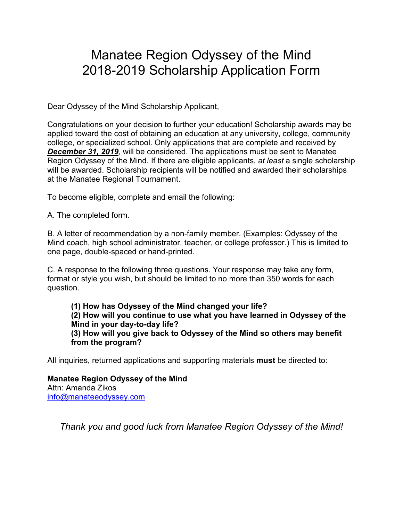## Manatee Region Odyssey of the Mind 2018-2019 Scholarship Application Form

Dear Odyssey of the Mind Scholarship Applicant,

Congratulations on your decision to further your education! Scholarship awards may be applied toward the cost of obtaining an education at any university, college, community college, or specialized school. Only applications that are complete and received by *December 31, 2019*, will be considered. The applications must be sent to Manatee Region Odyssey of the Mind. If there are eligible applicants, *at least* a single scholarship will be awarded. Scholarship recipients will be notified and awarded their scholarships at the Manatee Regional Tournament.

To become eligible, complete and email the following:

A. The completed form.

B. A letter of recommendation by a non-family member. (Examples: Odyssey of the Mind coach, high school administrator, teacher, or college professor.) This is limited to one page, double-spaced or hand-printed.

C. A response to the following three questions. Your response may take any form, format or style you wish, but should be limited to no more than 350 words for each question.

**(1) How has Odyssey of the Mind changed your life? (2) How will you continue to use what you have learned in Odyssey of the Mind in your day-to-day life? (3) How will you give back to Odyssey of the Mind so others may benefit from the program?**

All inquiries, returned applications and supporting materials **must** be directed to:

**Manatee Region Odyssey of the Mind** Attn: Amanda Zikos [info@manateeodyssey.com](mailto:info@manateeodyssey.com)

*Thank you and good luck from Manatee Region Odyssey of the Mind!*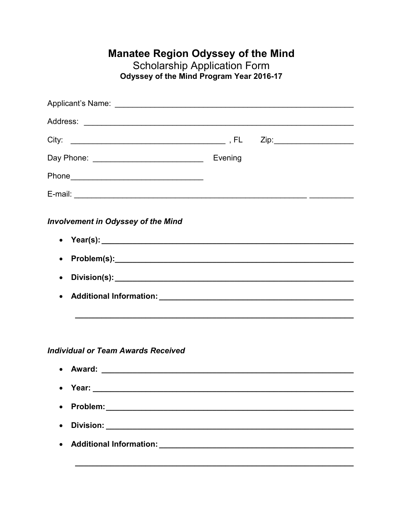## **Manatee Region Odyssey of the Mind<br>Scholarship Application Form<br>Odyssey of the Mind Program Year 2016-17**

| <b>Involvement in Odyssey of the Mind</b> |  |
|-------------------------------------------|--|
| $\bullet$                                 |  |
| $\bullet$                                 |  |
| $\bullet$                                 |  |
| <b>Individual or Team Awards Received</b> |  |
| • Year:                                   |  |
| $\bullet$                                 |  |
|                                           |  |
|                                           |  |